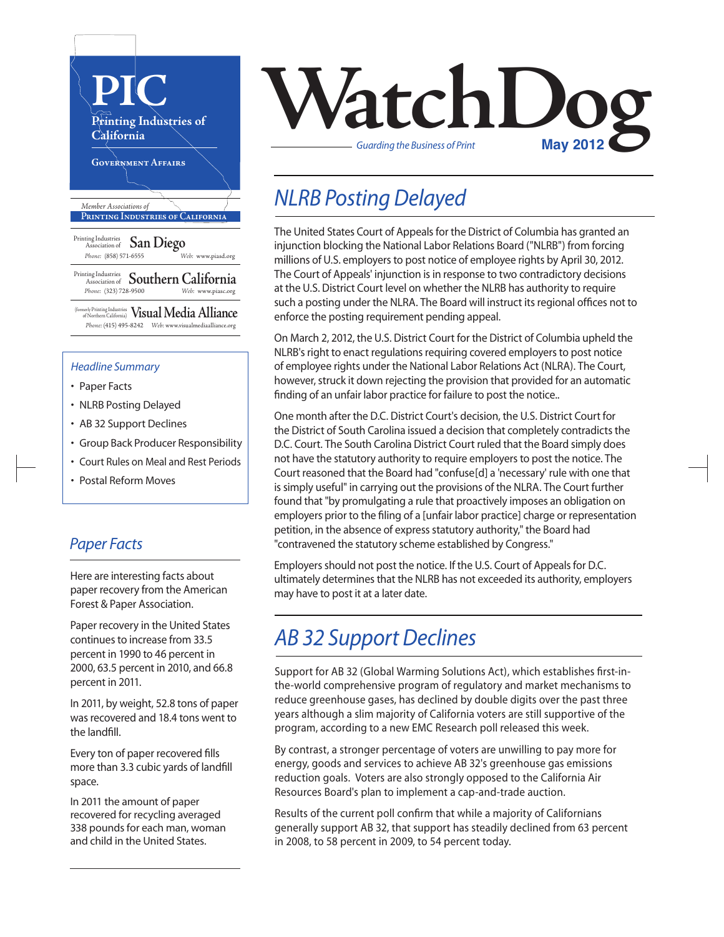

#### *Headline Summary*

- Paper Facts
- NLRB Posting Delayed
- AB 32 Support Declines
- Group Back Producer Responsibility
- Court Rules on Meal and Rest Periods
- Postal Reform Moves

#### *Paper Facts*

Here are interesting facts about paper recovery from the American Forest & Paper Association.

Paper recovery in the United States continues to increase from 33.5 percent in 1990 to 46 percent in 2000, 63.5 percent in 2010, and 66.8 percent in 2011.

In 2011, by weight, 52.8 tons of paper was recovered and 18.4 tons went to the landfill.

Every ton of paper recovered fills more than 3.3 cubic yards of landfill space.

In 2011 the amount of paper recovered for recycling averaged 338 pounds for each man, woman and child in the United States.



## *NLRB Posting Delayed*

The United States Court of Appeals for the District of Columbia has granted an injunction blocking the National Labor Relations Board ("NLRB") from forcing millions of U.S. employers to post notice of employee rights by April 30, 2012. The Court of Appeals' injunction is in response to two contradictory decisions at the U.S. District Court level on whether the NLRB has authority to require such a posting under the NLRA. The Board will instruct its regional offices not to enforce the posting requirement pending appeal.

On March 2, 2012, the U.S. District Court for the District of Columbia upheld the NLRB's right to enact regulations requiring covered employers to post notice of employee rights under the National Labor Relations Act (NLRA). The Court, however, struck it down rejecting the provision that provided for an automatic finding of an unfair labor practice for failure to post the notice..

One month after the D.C. District Court's decision, the U.S. District Court for the District of South Carolina issued a decision that completely contradicts the D.C. Court. The South Carolina District Court ruled that the Board simply does not have the statutory authority to require employers to post the notice. The Court reasoned that the Board had "confuse[d] a 'necessary' rule with one that is simply useful" in carrying out the provisions of the NLRA. The Court further found that "by promulgating a rule that proactively imposes an obligation on employers prior to the filing of a [unfair labor practice] charge or representation petition, in the absence of express statutory authority," the Board had "contravened the statutory scheme established by Congress."

Employers should not post the notice. If the U.S. Court of Appeals for D.C. ultimately determines that the NLRB has not exceeded its authority, employers may have to post it at a later date.

#### *AB 32 Support Declines*

Support for AB 32 (Global Warming Solutions Act), which establishes first-inthe-world comprehensive program of regulatory and market mechanisms to reduce greenhouse gases, has declined by double digits over the past three years although a slim majority of California voters are still supportive of the program, according to a new EMC Research poll released this week.

By contrast, a stronger percentage of voters are unwilling to pay more for energy, goods and services to achieve AB 32's greenhouse gas emissions reduction goals. Voters are also strongly opposed to the California Air Resources Board's plan to implement a cap-and-trade auction.

Results of the current poll confirm that while a majority of Californians generally support AB 32, that support has steadily declined from 63 percent in 2008, to 58 percent in 2009, to 54 percent today.